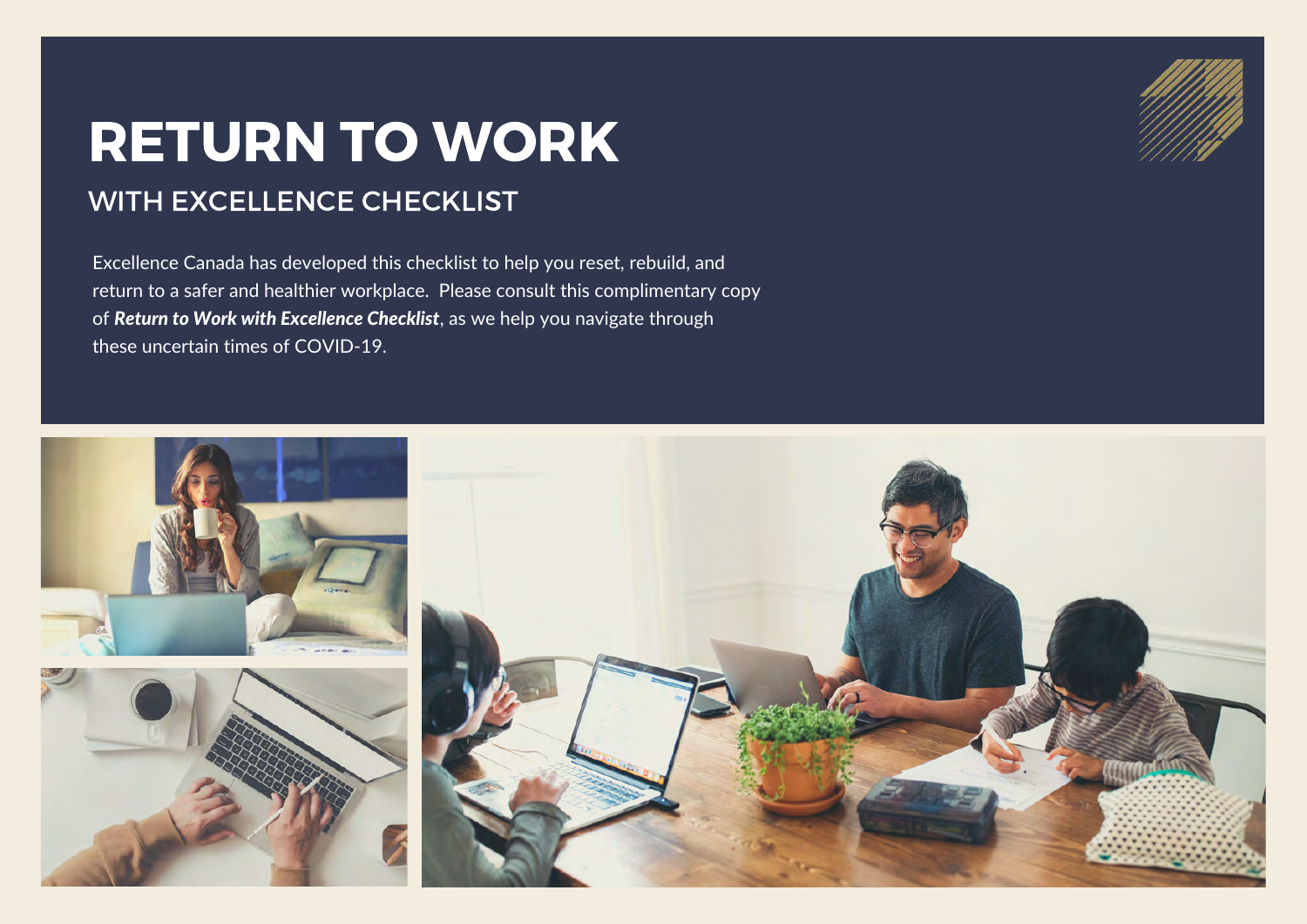## RETURN TO WORK

## WITH EXCELLENCE CHECKLIST

Excellence Canada has developed this checklist to help you reset, rebuild, and return to a safer and healthier workplace. Please consult this complimentary copy of *Return to Work with Excellence Checklist*, as we help you navigate through these uncertain times of COVID-19.



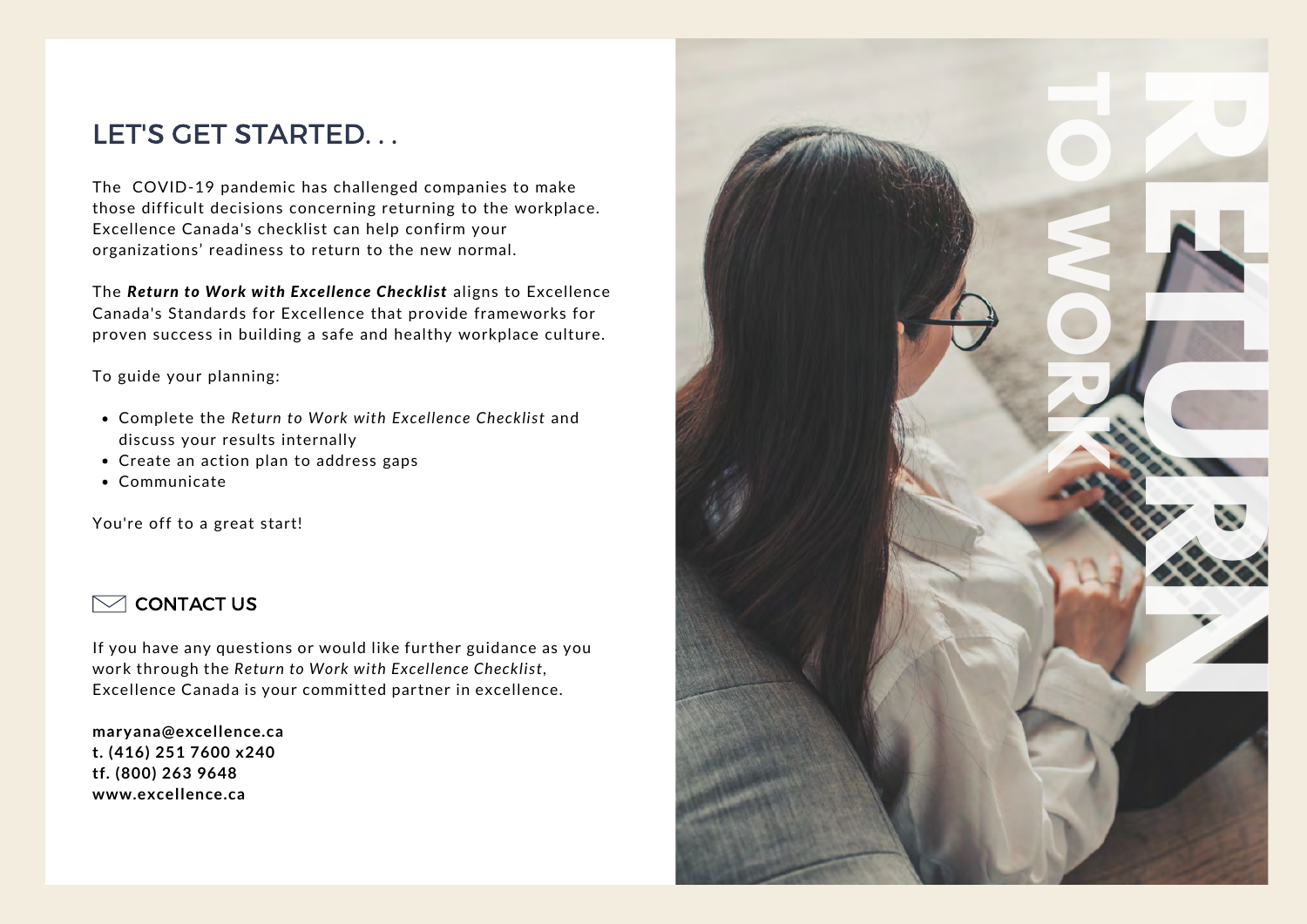## LET'S GET STARTED. . .

The COVID-19 pandemic has challenged companies to make those difficult decisions concerning returning to the workplace. Excellence Canada's checklist can help confirm your organizations' readiness to return to the new normal.

The *Return to Work with Excellence Checklist* aligns to Excellence Canada's Standards for Excellence that provide frameworks for proven success in building a safe and healthy workplace culture.

To guide your planning:

- Complete the *Return to Work with Excellence Checklist* and discuss your results internally
- Create an action plan to address gaps
- Communicate

You're off to a great start!



If you have any questions or would like further guidance as you work through the *Return to Work with Excellence Checklist*, Excellence Canada is your committed partner in excellence.

**maryana@excellence.ca t. (416) 251 7600 x240 tf. (800) 263 9648**

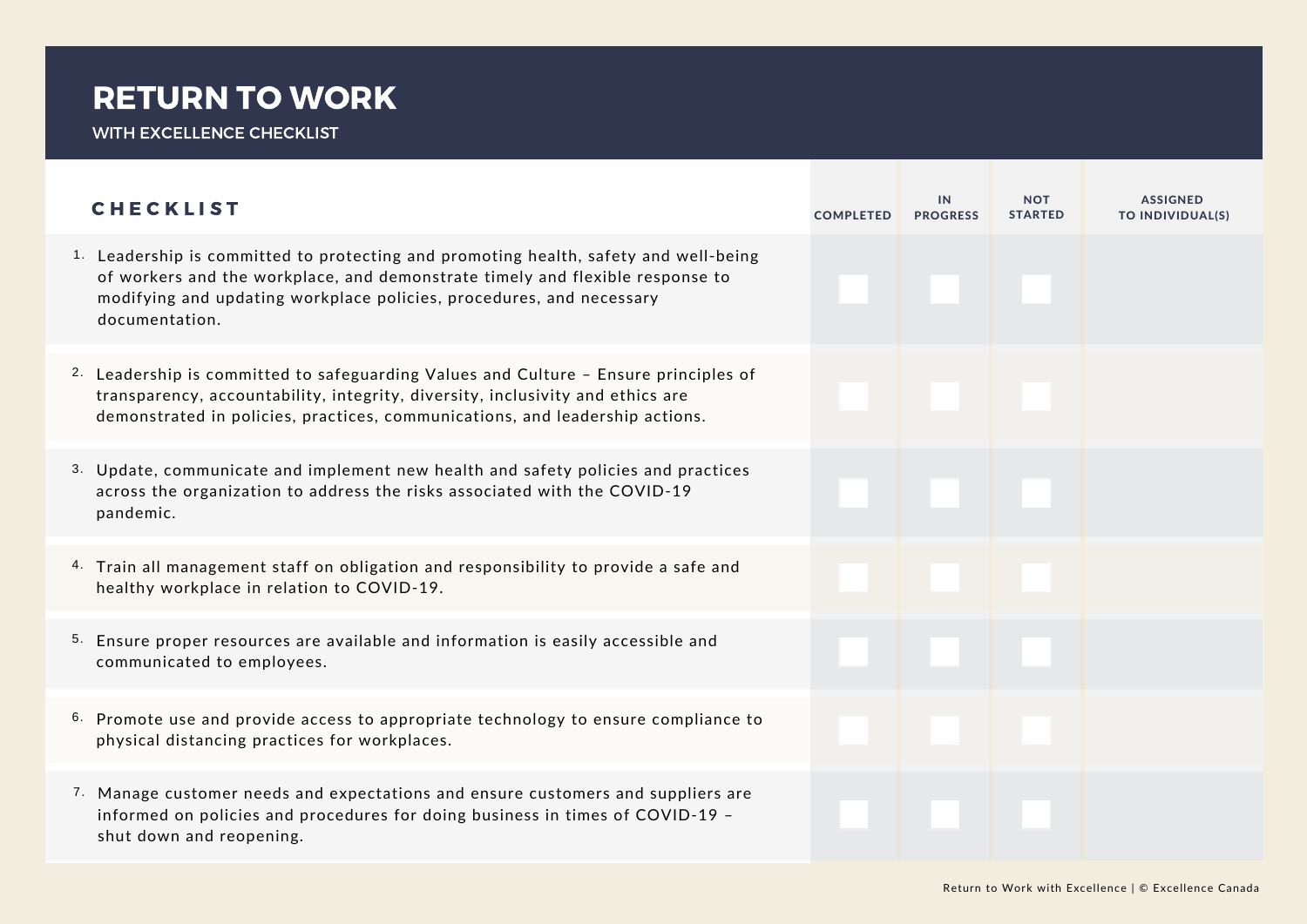## RETURN TO WORK

WITH EXCELLENCE CHECKLIST

| <b>CHECKLIST</b>                                                                                                                                                                                                                                                           | <b>COMPLETED</b> | IN<br><b>PROGRESS</b> | <b>NOT</b><br><b>STARTED</b> | <b>ASSIGNED</b><br>TO INDIVIDUAL(S) |
|----------------------------------------------------------------------------------------------------------------------------------------------------------------------------------------------------------------------------------------------------------------------------|------------------|-----------------------|------------------------------|-------------------------------------|
| <sup>1.</sup> Leadership is committed to protecting and promoting health, safety and well-being<br>of workers and the workplace, and demonstrate timely and flexible response to<br>modifying and updating workplace policies, procedures, and necessary<br>documentation. |                  |                       |                              |                                     |
| 2. Leadership is committed to safeguarding Values and Culture - Ensure principles of<br>transparency, accountability, integrity, diversity, inclusivity and ethics are<br>demonstrated in policies, practices, communications, and leadership actions.                     |                  |                       |                              |                                     |
| 3. Update, communicate and implement new health and safety policies and practices<br>across the organization to address the risks associated with the COVID-19<br>pandemic.                                                                                                |                  |                       |                              |                                     |
| 4. Train all management staff on obligation and responsibility to provide a safe and<br>healthy workplace in relation to COVID-19.                                                                                                                                         |                  |                       |                              |                                     |
| 5. Ensure proper resources are available and information is easily accessible and<br>communicated to employees.                                                                                                                                                            |                  |                       |                              |                                     |
| 6. Promote use and provide access to appropriate technology to ensure compliance to<br>physical distancing practices for workplaces.                                                                                                                                       |                  |                       |                              |                                     |
| 7. Manage customer needs and expectations and ensure customers and suppliers are<br>informed on policies and procedures for doing business in times of COVID-19 -<br>shut down and reopening.                                                                              |                  |                       |                              |                                     |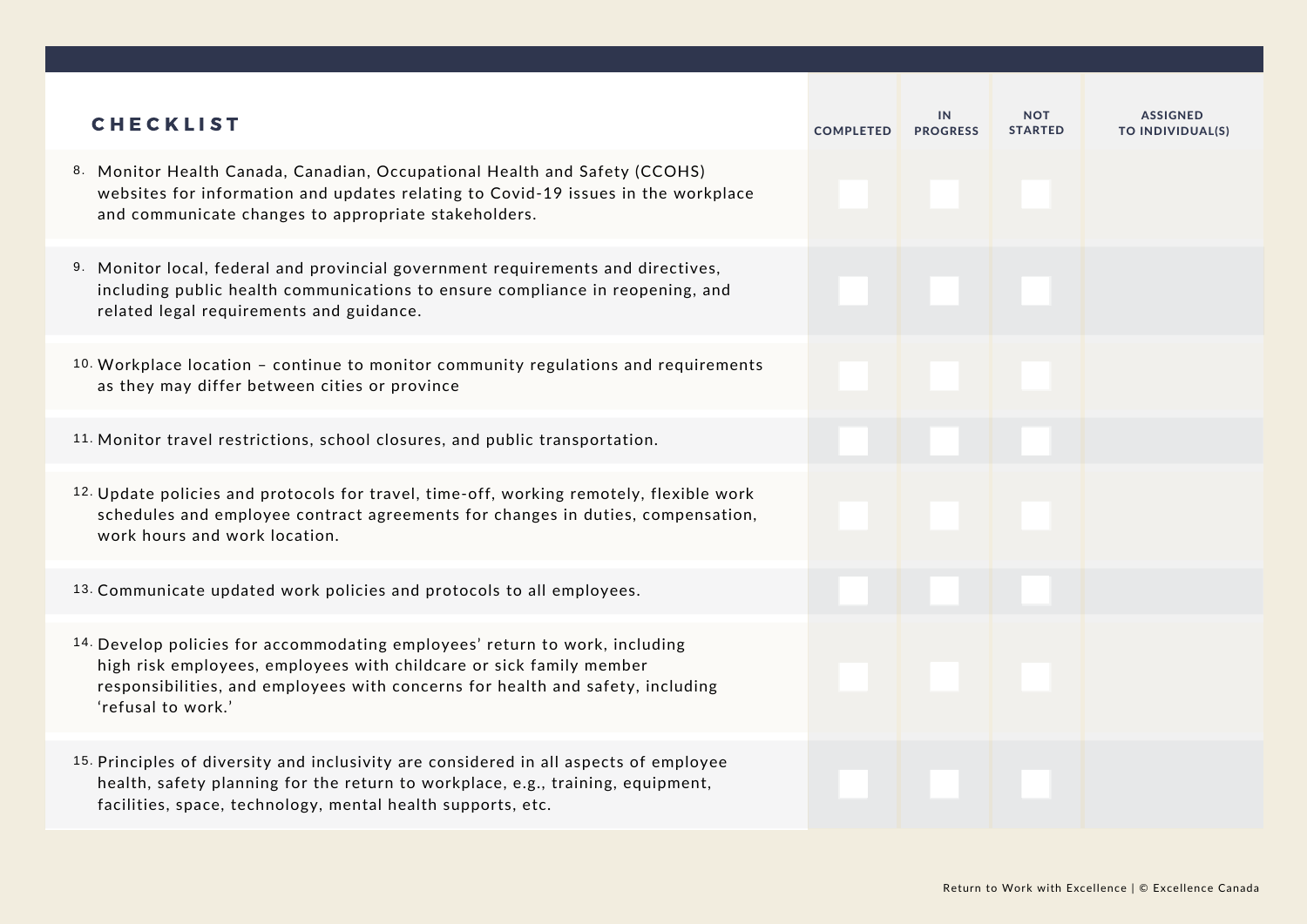| <b>CHECKLIST</b>                                                                                                                                                                                                                                           | <b>COMPLETED</b> | IN.<br><b>PROGRESS</b> | <b>NOT</b><br><b>STARTED</b> | <b>ASSIGNED</b><br>TO INDIVIDUAL(S) |
|------------------------------------------------------------------------------------------------------------------------------------------------------------------------------------------------------------------------------------------------------------|------------------|------------------------|------------------------------|-------------------------------------|
| 8. Monitor Health Canada, Canadian, Occupational Health and Safety (CCOHS)<br>websites for information and updates relating to Covid-19 issues in the workplace<br>and communicate changes to appropriate stakeholders.                                    |                  |                        |                              |                                     |
| 9. Monitor local, federal and provincial government requirements and directives,<br>including public health communications to ensure compliance in reopening, and<br>related legal requirements and guidance.                                              |                  |                        |                              |                                     |
| <sup>10</sup> Workplace location - continue to monitor community regulations and requirements<br>as they may differ between cities or province                                                                                                             |                  |                        |                              |                                     |
| 11. Monitor travel restrictions, school closures, and public transportation.                                                                                                                                                                               |                  |                        |                              |                                     |
| 12. Update policies and protocols for travel, time-off, working remotely, flexible work<br>schedules and employee contract agreements for changes in duties, compensation,<br>work hours and work location.                                                |                  |                        |                              |                                     |
| 13. Communicate updated work policies and protocols to all employees.                                                                                                                                                                                      |                  |                        |                              |                                     |
| 14. Develop policies for accommodating employees' return to work, including<br>high risk employees, employees with childcare or sick family member<br>responsibilities, and employees with concerns for health and safety, including<br>'refusal to work.' |                  |                        |                              |                                     |
| 15. Principles of diversity and inclusivity are considered in all aspects of employee<br>health, safety planning for the return to workplace, e.g., training, equipment,<br>facilities, space, technology, mental health supports, etc.                    |                  |                        |                              |                                     |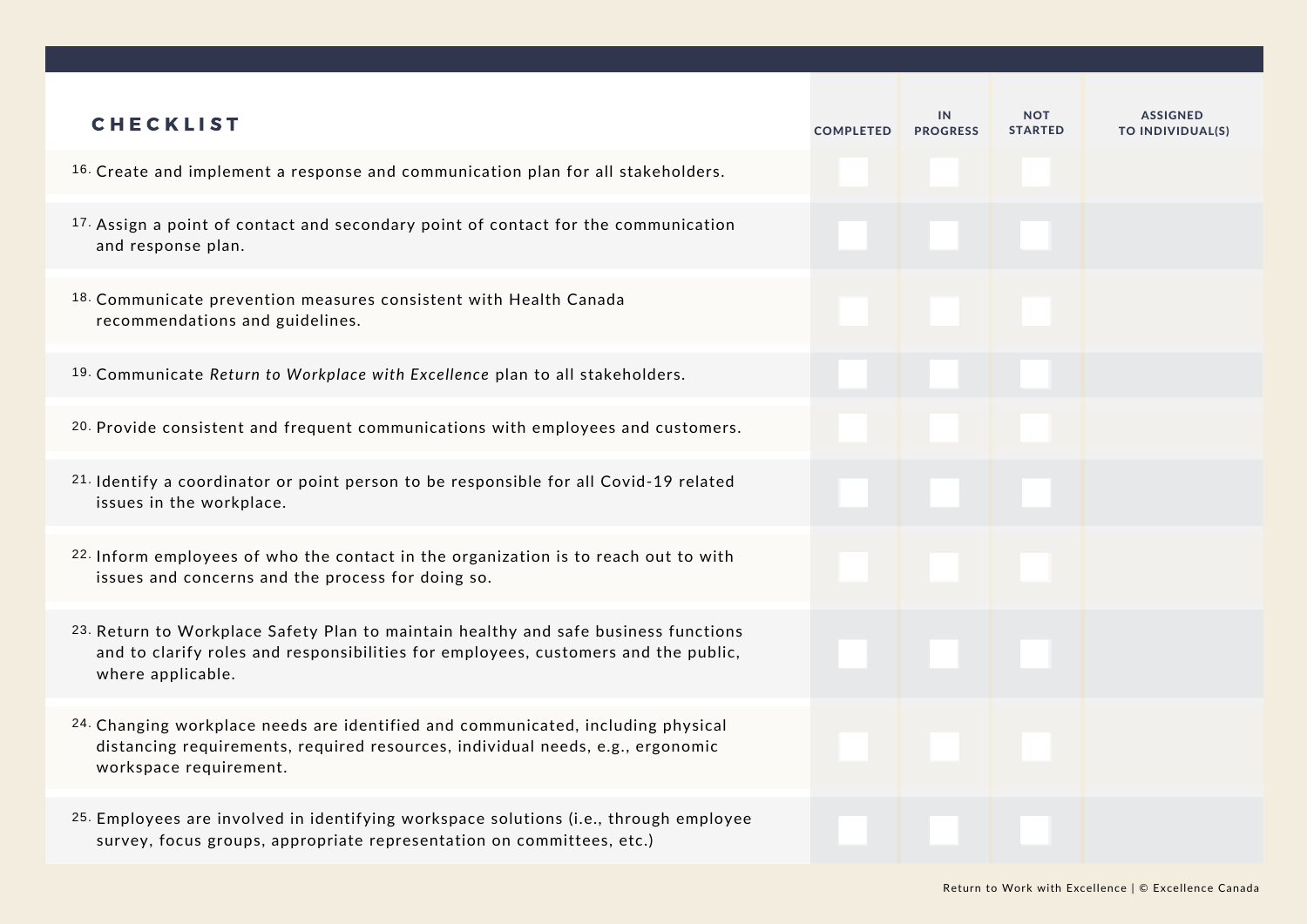| <b>CHECKLIST</b>                                                                                                                                                                               | <b>COMPLETED</b> | IN<br><b>PROGRESS</b> | NOT<br><b>STARTED</b> | <b>ASSIGNED</b><br>TO INDIVIDUAL(S) |
|------------------------------------------------------------------------------------------------------------------------------------------------------------------------------------------------|------------------|-----------------------|-----------------------|-------------------------------------|
| 16. Create and implement a response and communication plan for all stakeholders.                                                                                                               |                  |                       |                       |                                     |
| 17. Assign a point of contact and secondary point of contact for the communication<br>and response plan.                                                                                       |                  |                       |                       |                                     |
| 18. Communicate prevention measures consistent with Health Canada<br>recommendations and guidelines.                                                                                           |                  |                       |                       |                                     |
| <sup>19</sup> Communicate Return to Workplace with Excellence plan to all stakeholders.                                                                                                        |                  |                       |                       |                                     |
| <sup>20.</sup> Provide consistent and frequent communications with employees and customers.                                                                                                    |                  |                       |                       |                                     |
| 21. Identify a coordinator or point person to be responsible for all Covid-19 related<br>issues in the workplace.                                                                              |                  |                       |                       |                                     |
| 22. Inform employees of who the contact in the organization is to reach out to with<br>issues and concerns and the process for doing so.                                                       |                  |                       |                       |                                     |
| 23. Return to Workplace Safety Plan to maintain healthy and safe business functions<br>and to clarify roles and responsibilities for employees, customers and the public,<br>where applicable. |                  |                       |                       |                                     |
| 24. Changing workplace needs are identified and communicated, including physical<br>distancing requirements, required resources, individual needs, e.g., ergonomic<br>workspace requirement.   |                  |                       |                       |                                     |
| 25. Employees are involved in identifying workspace solutions (i.e., through employee<br>survey, focus groups, appropriate representation on committees, etc.)                                 |                  |                       |                       |                                     |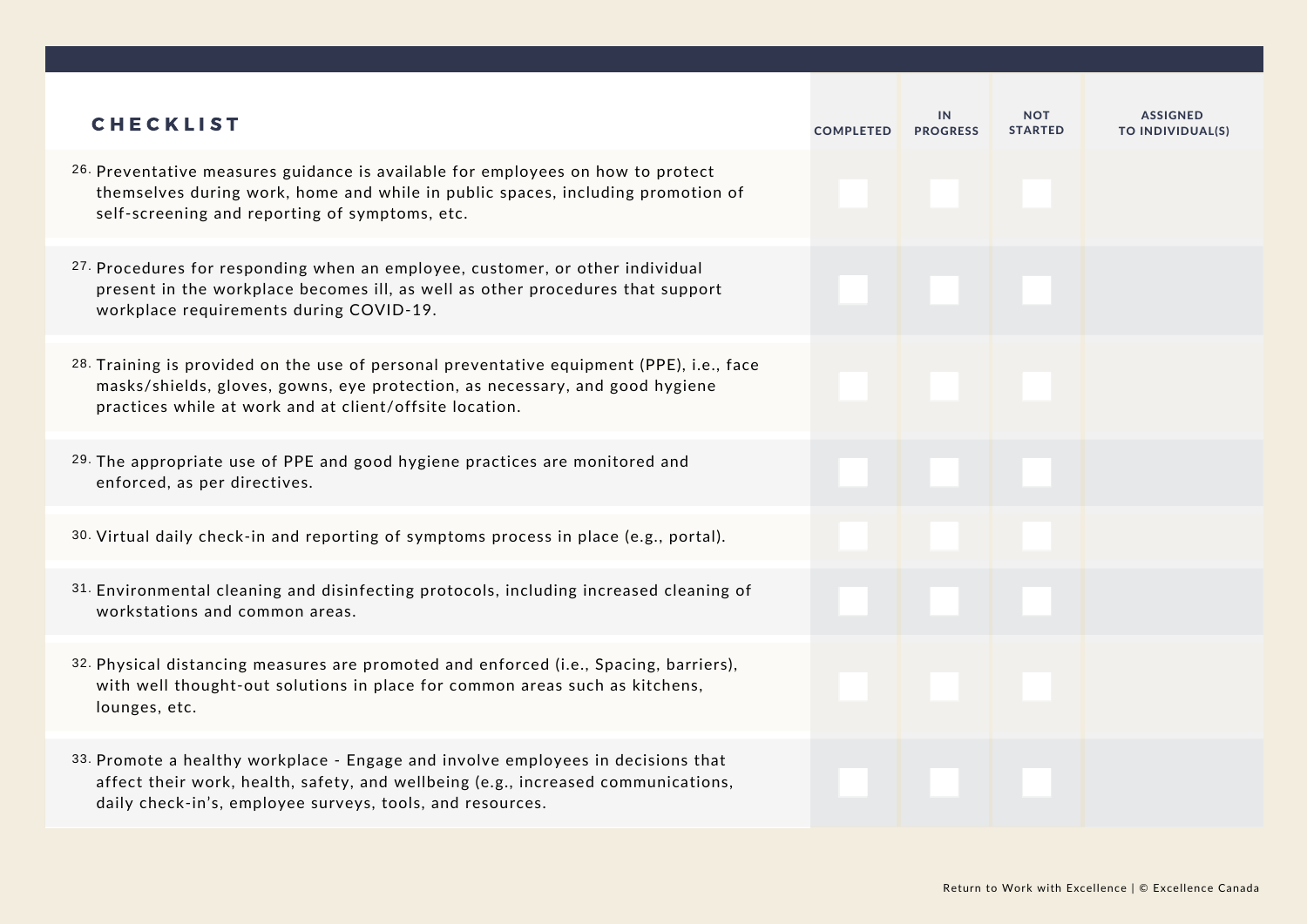| <b>CHECKLIST</b>                                                                                                                                                                                                                    | <b>COMPLETED</b> | IN<br><b>PROGRESS</b> | <b>NOT</b><br><b>STARTED</b> | <b>ASSIGNED</b><br>TO INDIVIDUAL(S) |
|-------------------------------------------------------------------------------------------------------------------------------------------------------------------------------------------------------------------------------------|------------------|-----------------------|------------------------------|-------------------------------------|
| 26. Preventative measures guidance is available for employees on how to protect<br>themselves during work, home and while in public spaces, including promotion of<br>self-screening and reporting of symptoms, etc.                |                  |                       |                              |                                     |
| <sup>27</sup> Procedures for responding when an employee, customer, or other individual<br>present in the workplace becomes ill, as well as other procedures that support<br>workplace requirements during COVID-19.                |                  |                       |                              |                                     |
| 28. Training is provided on the use of personal preventative equipment (PPE), i.e., face<br>masks/shields, gloves, gowns, eye protection, as necessary, and good hygiene<br>practices while at work and at client/offsite location. |                  |                       |                              |                                     |
| 29. The appropriate use of PPE and good hygiene practices are monitored and<br>enforced, as per directives.                                                                                                                         |                  |                       |                              |                                     |
| 30. Virtual daily check-in and reporting of symptoms process in place (e.g., portal).                                                                                                                                               |                  |                       |                              |                                     |
| 31. Environmental cleaning and disinfecting protocols, including increased cleaning of<br>workstations and common areas.                                                                                                            |                  |                       |                              |                                     |
| 32. Physical distancing measures are promoted and enforced (i.e., Spacing, barriers),<br>with well thought-out solutions in place for common areas such as kitchens,<br>lounges, etc.                                               |                  |                       |                              |                                     |
| 33. Promote a healthy workplace - Engage and involve employees in decisions that<br>affect their work, health, safety, and wellbeing (e.g., increased communications,<br>daily check-in's, employee surveys, tools, and resources.  |                  |                       |                              |                                     |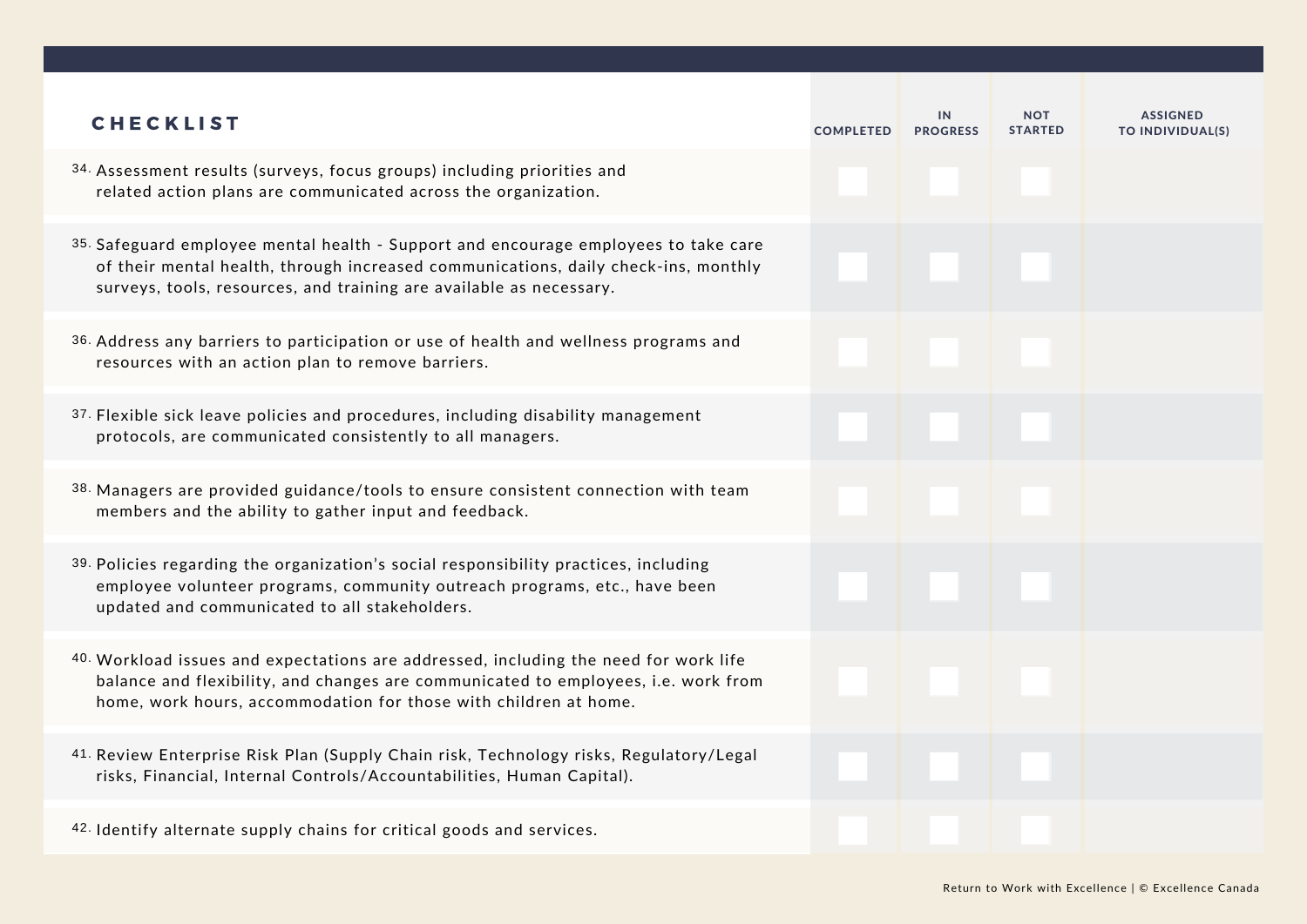| <b>CHECKLIST</b>                                                                                                                                                                                                                                 | <b>COMPLETED</b> | IN<br><b>PROGRESS</b> | <b>NOT</b><br><b>STARTED</b> | <b>ASSIGNED</b><br>TO INDIVIDUAL(S) |
|--------------------------------------------------------------------------------------------------------------------------------------------------------------------------------------------------------------------------------------------------|------------------|-----------------------|------------------------------|-------------------------------------|
| 34. Assessment results (surveys, focus groups) including priorities and<br>related action plans are communicated across the organization.                                                                                                        |                  |                       |                              |                                     |
| 35. Safeguard employee mental health - Support and encourage employees to take care<br>of their mental health, through increased communications, daily check-ins, monthly<br>surveys, tools, resources, and training are available as necessary. |                  |                       |                              |                                     |
| 36. Address any barriers to participation or use of health and wellness programs and<br>resources with an action plan to remove barriers.                                                                                                        |                  |                       |                              |                                     |
| 37. Flexible sick leave policies and procedures, including disability management<br>protocols, are communicated consistently to all managers.                                                                                                    |                  |                       |                              |                                     |
| 38. Managers are provided guidance/tools to ensure consistent connection with team<br>members and the ability to gather input and feedback.                                                                                                      |                  |                       |                              |                                     |
| 39. Policies regarding the organization's social responsibility practices, including<br>employee volunteer programs, community outreach programs, etc., have been<br>updated and communicated to all stakeholders.                               |                  |                       |                              |                                     |
| 40. Workload issues and expectations are addressed, including the need for work life<br>balance and flexibility, and changes are communicated to employees, i.e. work from<br>home, work hours, accommodation for those with children at home.   |                  |                       |                              |                                     |
| 41. Review Enterprise Risk Plan (Supply Chain risk, Technology risks, Regulatory/Legal<br>risks, Financial, Internal Controls/Accountabilities, Human Capital).                                                                                  |                  |                       |                              |                                     |
| 42. Identify alternate supply chains for critical goods and services.                                                                                                                                                                            |                  |                       |                              |                                     |